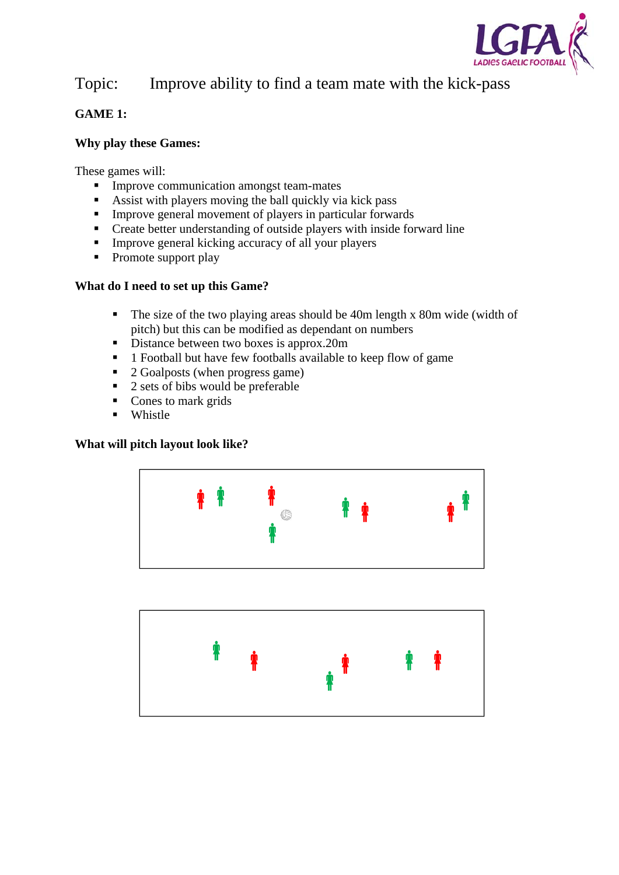

# Topic: Improve ability to find a team mate with the kick-pass

## **GAME 1:**

## **Why play these Games:**

These games will:

- **Improve communication amongst team-mates**
- Assist with players moving the ball quickly via kick pass
- Improve general movement of players in particular forwards
- Create better understanding of outside players with inside forward line
- **IMPROVE general kicking accuracy of all your players**
- Promote support play

## **What do I need to set up this Game?**

- The size of the two playing areas should be 40m length x 80m wide (width of pitch) but this can be modified as dependant on numbers
- Distance between two boxes is approx.20m
- **1** Football but have few footballs available to keep flow of game
- $\blacksquare$  2 Goalposts (when progress game)
- $\overline{2}$  sets of bibs would be preferable
- Cones to mark grids
- **Whistle**

#### **What will pitch layout look like?**



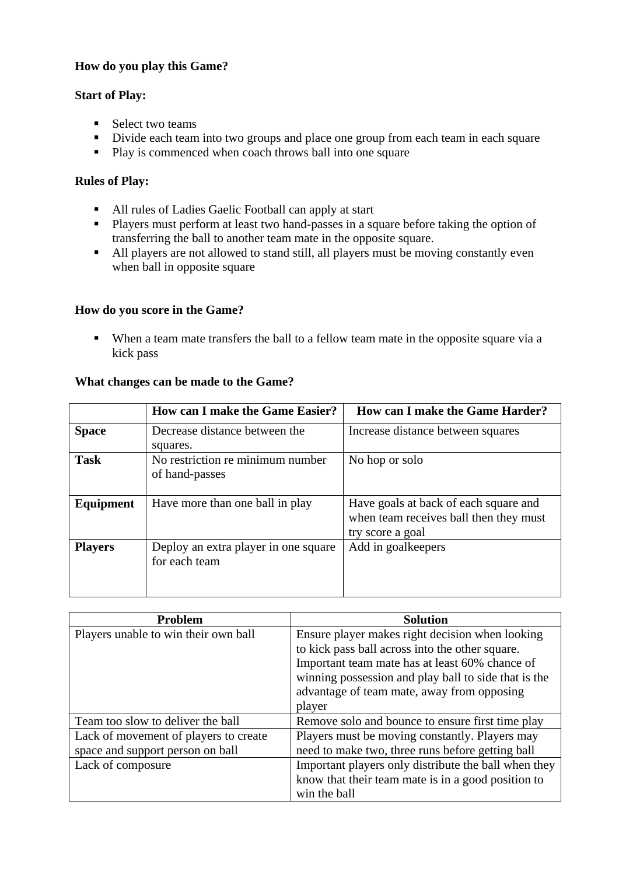#### **How do you play this Game?**

#### **Start of Play:**

- $\blacksquare$  Select two teams
- Divide each team into two groups and place one group from each team in each square
- Play is commenced when coach throws ball into one square

#### **Rules of Play:**

- All rules of Ladies Gaelic Football can apply at start
- **Players must perform at least two hand-passes in a square before taking the option of** transferring the ball to another team mate in the opposite square.
- All players are not allowed to stand still, all players must be moving constantly even when ball in opposite square

#### **How do you score in the Game?**

 When a team mate transfers the ball to a fellow team mate in the opposite square via a kick pass

#### **What changes can be made to the Game?**

|                | <b>How can I make the Game Easier?</b>                | How can I make the Game Harder?                                                                     |
|----------------|-------------------------------------------------------|-----------------------------------------------------------------------------------------------------|
| <b>Space</b>   | Decrease distance between the<br>squares.             | Increase distance between squares                                                                   |
| <b>Task</b>    | No restriction re minimum number<br>of hand-passes    | No hop or solo                                                                                      |
| Equipment      | Have more than one ball in play                       | Have goals at back of each square and<br>when team receives ball then they must<br>try score a goal |
| <b>Players</b> | Deploy an extra player in one square<br>for each team | Add in goalkeepers                                                                                  |

| <b>Problem</b>                        | <b>Solution</b>                                      |
|---------------------------------------|------------------------------------------------------|
| Players unable to win their own ball  | Ensure player makes right decision when looking      |
|                                       | to kick pass ball across into the other square.      |
|                                       | Important team mate has at least 60% chance of       |
|                                       | winning possession and play ball to side that is the |
|                                       | advantage of team mate, away from opposing           |
|                                       | player                                               |
| Team too slow to deliver the ball     | Remove solo and bounce to ensure first time play     |
| Lack of movement of players to create | Players must be moving constantly. Players may       |
| space and support person on ball      | need to make two, three runs before getting ball     |
| Lack of composure                     | Important players only distribute the ball when they |
|                                       | know that their team mate is in a good position to   |
|                                       | win the ball                                         |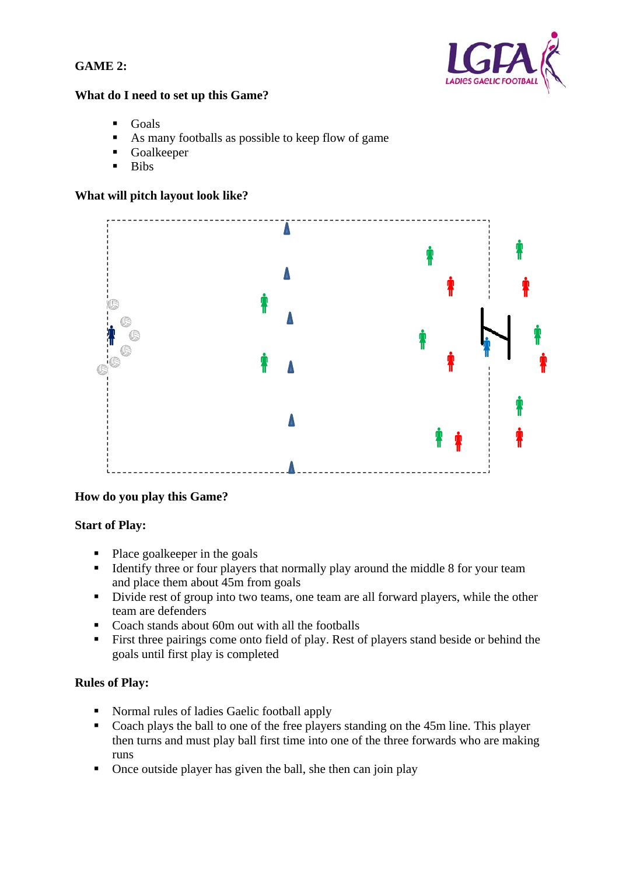### **GAME 2:**



#### **What do I need to set up this Game?**

- Goals
- As many footballs as possible to keep flow of game
- **Goalkeeper**
- $\blacksquare$  Bibs

#### **What will pitch layout look like?**



#### **How do you play this Game?**

#### **Start of Play:**

- $\blacksquare$  Place goalkeeper in the goals
- Identify three or four players that normally play around the middle 8 for your team and place them about 45m from goals
- Divide rest of group into two teams, one team are all forward players, while the other team are defenders
- Coach stands about 60m out with all the footballs
- First three pairings come onto field of play. Rest of players stand beside or behind the goals until first play is completed

#### **Rules of Play:**

- Normal rules of ladies Gaelic football apply
- Coach plays the ball to one of the free players standing on the 45m line. This player then turns and must play ball first time into one of the three forwards who are making runs
- Once outside player has given the ball, she then can join play